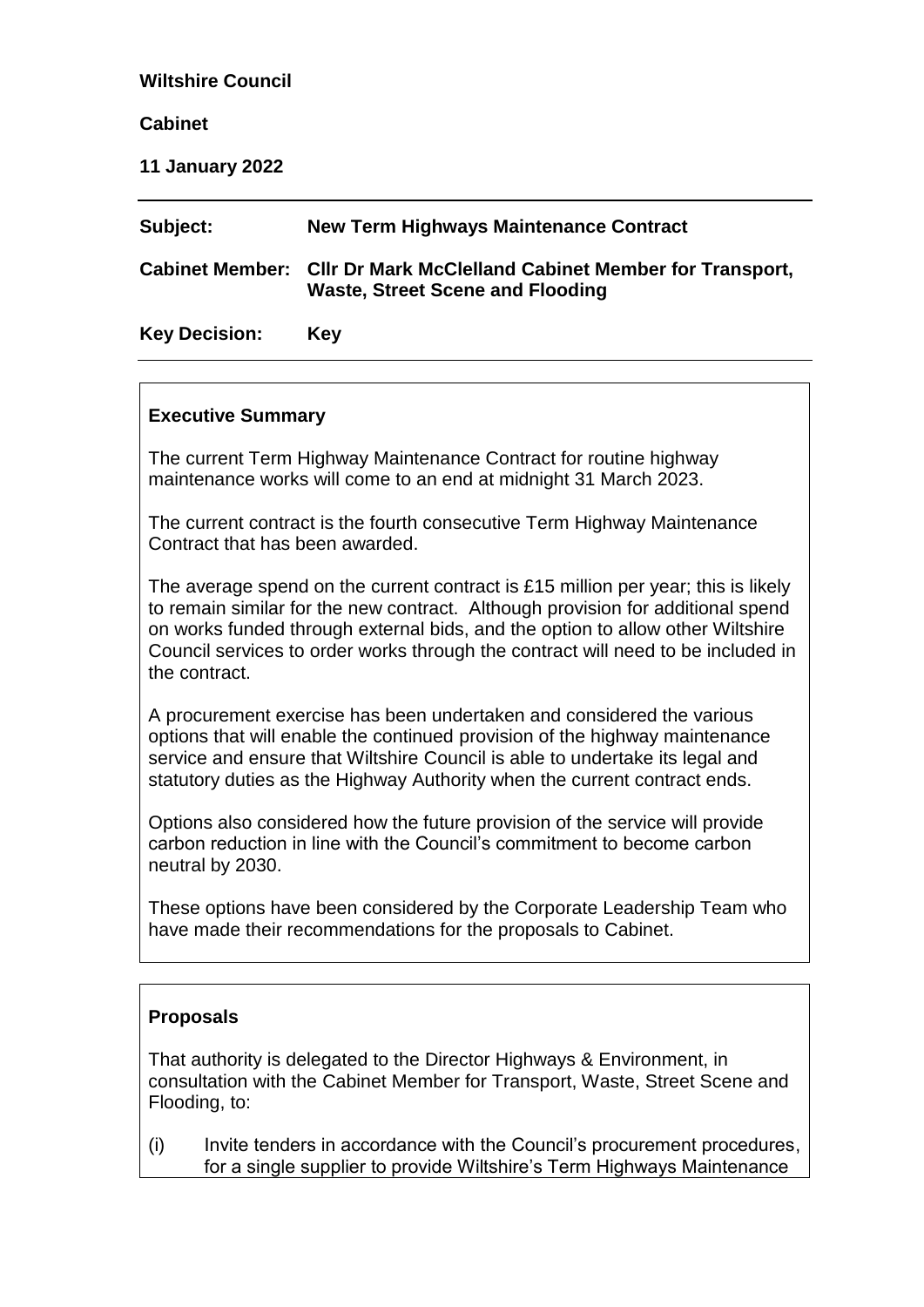### **Wiltshire Council**

### **Cabinet**

**11 January 2022**

| Subject:             | New Term Highways Maintenance Contract                                                                           |
|----------------------|------------------------------------------------------------------------------------------------------------------|
|                      | Cabinet Member: Cllr Dr Mark McClelland Cabinet Member for Transport,<br><b>Waste, Street Scene and Flooding</b> |
| <b>Key Decision:</b> | Kev                                                                                                              |

### **Executive Summary**

The current Term Highway Maintenance Contract for routine highway maintenance works will come to an end at midnight 31 March 2023.

The current contract is the fourth consecutive Term Highway Maintenance Contract that has been awarded.

The average spend on the current contract is £15 million per year; this is likely to remain similar for the new contract. Although provision for additional spend on works funded through external bids, and the option to allow other Wiltshire Council services to order works through the contract will need to be included in the contract.

A procurement exercise has been undertaken and considered the various options that will enable the continued provision of the highway maintenance service and ensure that Wiltshire Council is able to undertake its legal and statutory duties as the Highway Authority when the current contract ends.

Options also considered how the future provision of the service will provide carbon reduction in line with the Council's commitment to become carbon neutral by 2030.

These options have been considered by the Corporate Leadership Team who have made their recommendations for the proposals to Cabinet.

#### **Proposals**

That authority is delegated to the Director Highways & Environment, in consultation with the Cabinet Member for Transport, Waste, Street Scene and Flooding, to:

(i) Invite tenders in accordance with the Council's procurement procedures, for a single supplier to provide Wiltshire's Term Highways Maintenance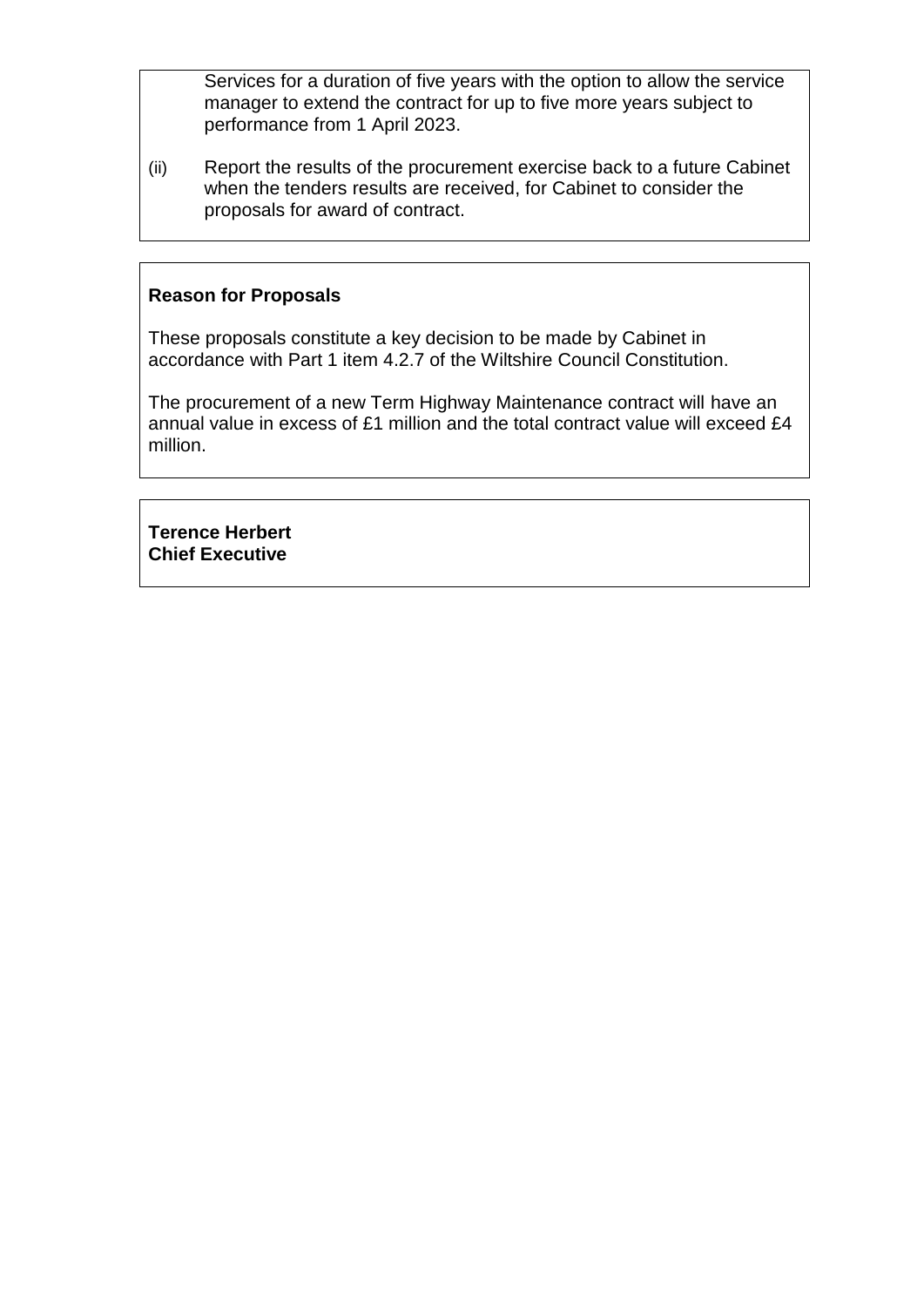Services for a duration of five years with the option to allow the service manager to extend the contract for up to five more years subject to performance from 1 April 2023.

(ii) Report the results of the procurement exercise back to a future Cabinet when the tenders results are received, for Cabinet to consider the proposals for award of contract.

### **Reason for Proposals**

These proposals constitute a key decision to be made by Cabinet in accordance with Part 1 item 4.2.7 of the Wiltshire Council Constitution.

The procurement of a new Term Highway Maintenance contract will have an annual value in excess of £1 million and the total contract value will exceed £4 million.

**Terence Herbert Chief Executive**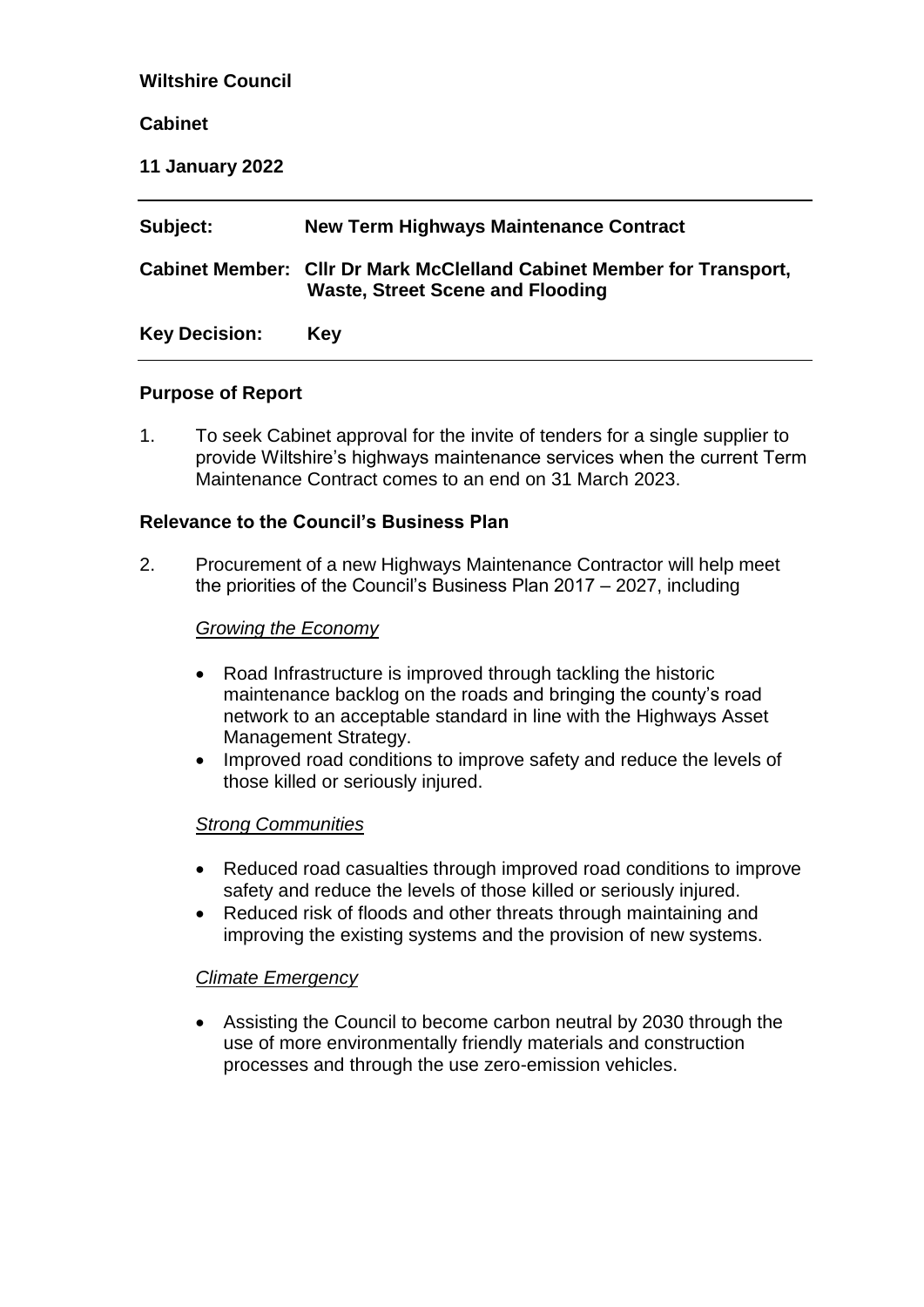### **Wiltshire Council**

### **Cabinet**

**11 January 2022**

| Subject:             | <b>New Term Highways Maintenance Contract</b>                                                                    |
|----------------------|------------------------------------------------------------------------------------------------------------------|
|                      | Cabinet Member: Cllr Dr Mark McClelland Cabinet Member for Transport,<br><b>Waste, Street Scene and Flooding</b> |
| <b>Key Decision:</b> | <b>Key</b>                                                                                                       |

### **Purpose of Report**

1. To seek Cabinet approval for the invite of tenders for a single supplier to provide Wiltshire's highways maintenance services when the current Term Maintenance Contract comes to an end on 31 March 2023.

### **Relevance to the Council's Business Plan**

2. Procurement of a new Highways Maintenance Contractor will help meet the priorities of the Council's Business Plan 2017 – 2027, including

#### *Growing the Economy*

- Road Infrastructure is improved through tackling the historic maintenance backlog on the roads and bringing the county's road network to an acceptable standard in line with the Highways Asset Management Strategy.
- Improved road conditions to improve safety and reduce the levels of those killed or seriously injured.

#### *Strong Communities*

- Reduced road casualties through improved road conditions to improve safety and reduce the levels of those killed or seriously injured.
- Reduced risk of floods and other threats through maintaining and improving the existing systems and the provision of new systems.

### *Climate Emergency*

 Assisting the Council to become carbon neutral by 2030 through the use of more environmentally friendly materials and construction processes and through the use zero-emission vehicles.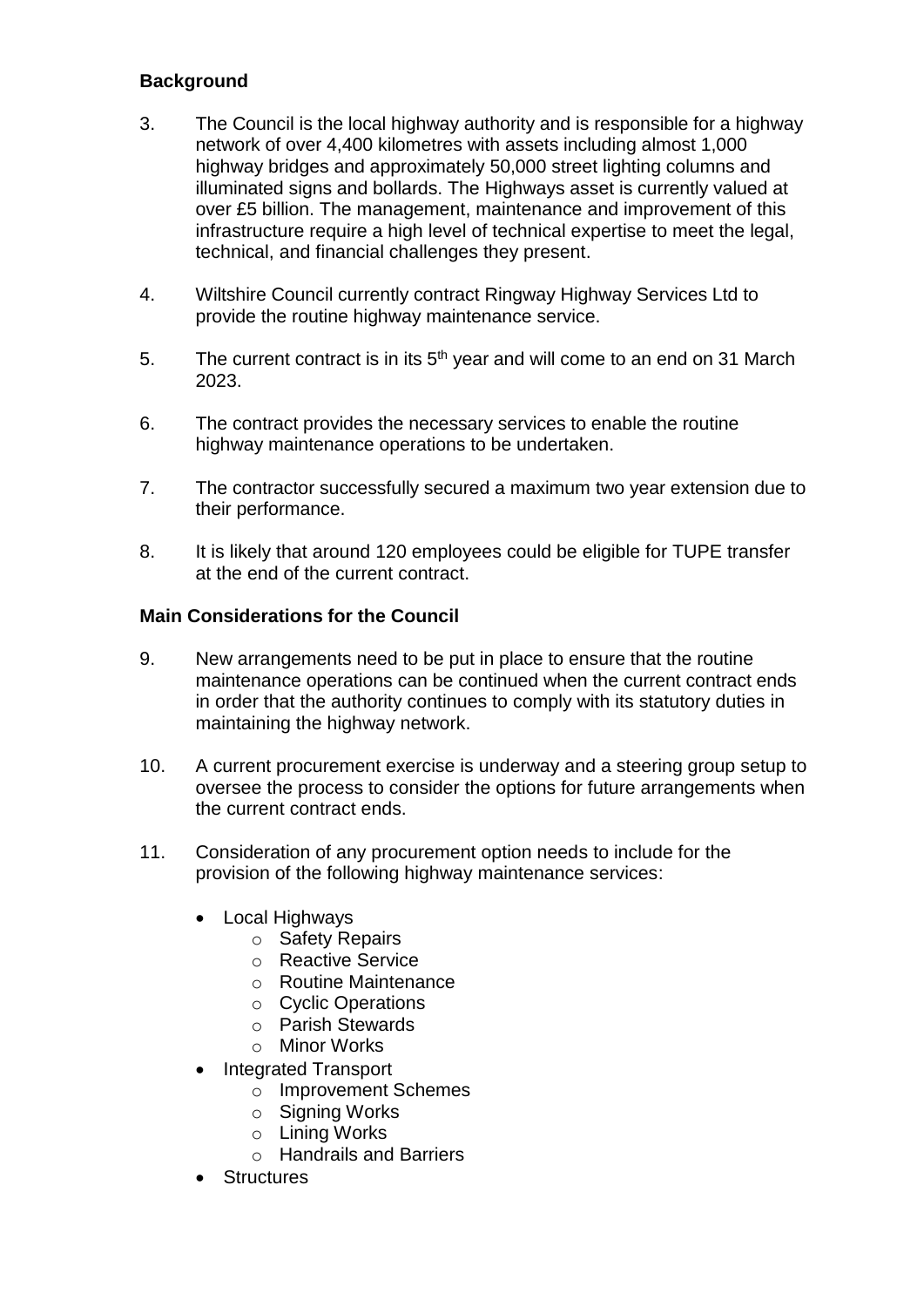# **Background**

- 3. The Council is the local highway authority and is responsible for a highway network of over 4,400 kilometres with assets including almost 1,000 highway bridges and approximately 50,000 street lighting columns and illuminated signs and bollards. The Highways asset is currently valued at over £5 billion. The management, maintenance and improvement of this infrastructure require a high level of technical expertise to meet the legal, technical, and financial challenges they present.
- 4. Wiltshire Council currently contract Ringway Highway Services Ltd to provide the routine highway maintenance service.
- 5. The current contract is in its  $5<sup>th</sup>$  year and will come to an end on 31 March 2023.
- 6. The contract provides the necessary services to enable the routine highway maintenance operations to be undertaken.
- 7. The contractor successfully secured a maximum two year extension due to their performance.
- 8. It is likely that around 120 employees could be eligible for TUPE transfer at the end of the current contract.

### **Main Considerations for the Council**

- 9. New arrangements need to be put in place to ensure that the routine maintenance operations can be continued when the current contract ends in order that the authority continues to comply with its statutory duties in maintaining the highway network.
- 10. A current procurement exercise is underway and a steering group setup to oversee the process to consider the options for future arrangements when the current contract ends.
- 11. Consideration of any procurement option needs to include for the provision of the following highway maintenance services:
	- Local Highways
		- o Safety Repairs
		- o Reactive Service
		- o Routine Maintenance
		- o Cyclic Operations
		- o Parish Stewards
		- o Minor Works
	- Integrated Transport
		- o Improvement Schemes
		- o Signing Works
		- o Lining Works
		- o Handrails and Barriers
	- **•** Structures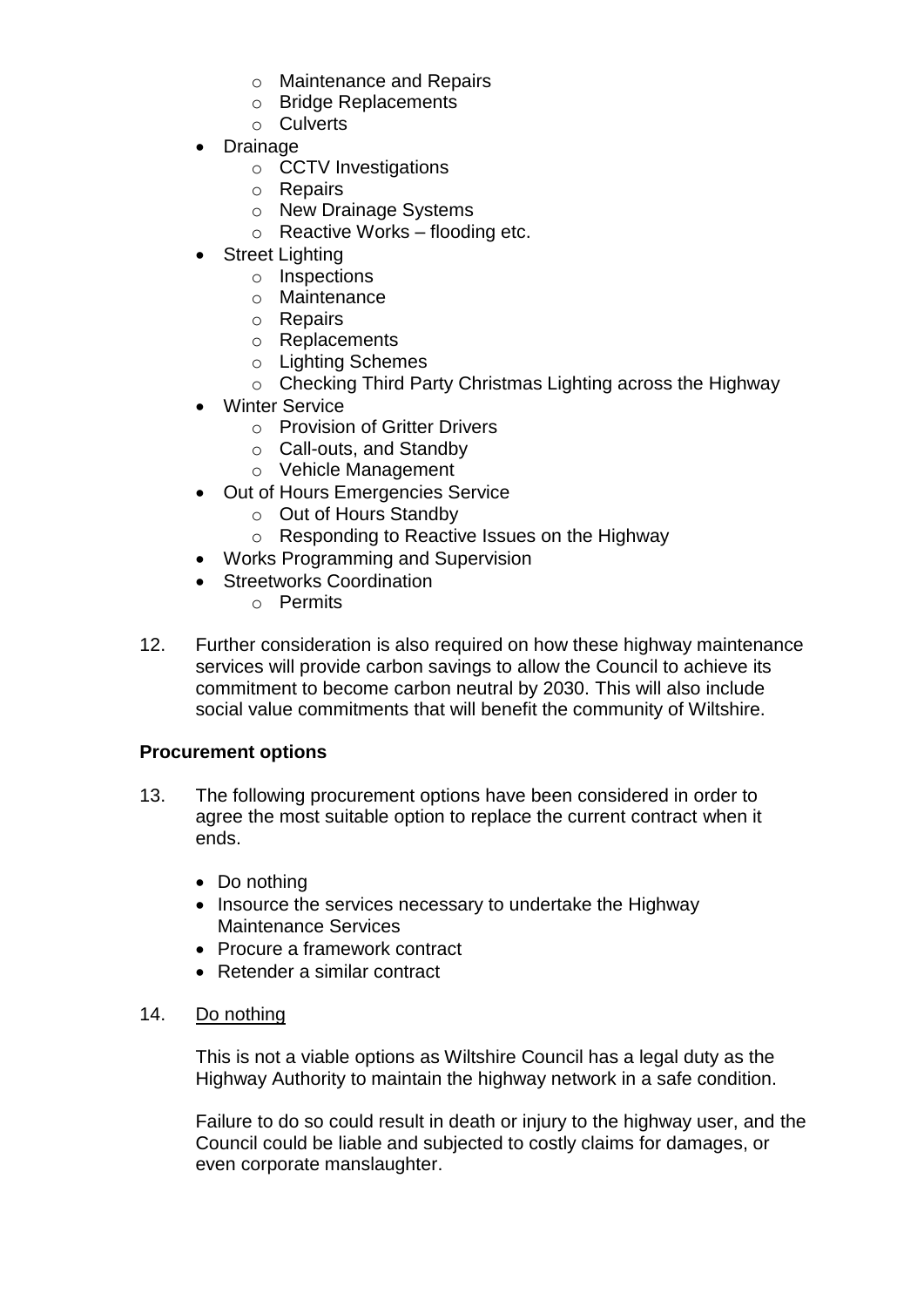- o Maintenance and Repairs
- o Bridge Replacements
- o Culverts
- Drainage
	- o CCTV Investigations
	- o Repairs
	- o New Drainage Systems
	- $\circ$  Reactive Works flooding etc.
- Street Lighting
	- o Inspections
	- o Maintenance
	- o Repairs
	- o Replacements
	- o Lighting Schemes
	- o Checking Third Party Christmas Lighting across the Highway
- Winter Service
	- o Provision of Gritter Drivers
	- o Call-outs, and Standby
	- o Vehicle Management
- Out of Hours Emergencies Service
	- o Out of Hours Standby
	- o Responding to Reactive Issues on the Highway
- Works Programming and Supervision
- Streetworks Coordination
	- o Permits
- 12. Further consideration is also required on how these highway maintenance services will provide carbon savings to allow the Council to achieve its commitment to become carbon neutral by 2030. This will also include social value commitments that will benefit the community of Wiltshire.

### **Procurement options**

- 13. The following procurement options have been considered in order to agree the most suitable option to replace the current contract when it ends.
	- Do nothing
	- Insource the services necessary to undertake the Highway Maintenance Services
	- Procure a framework contract
	- Retender a similar contract
- 14. Do nothing

This is not a viable options as Wiltshire Council has a legal duty as the Highway Authority to maintain the highway network in a safe condition.

Failure to do so could result in death or injury to the highway user, and the Council could be liable and subjected to costly claims for damages, or even corporate manslaughter.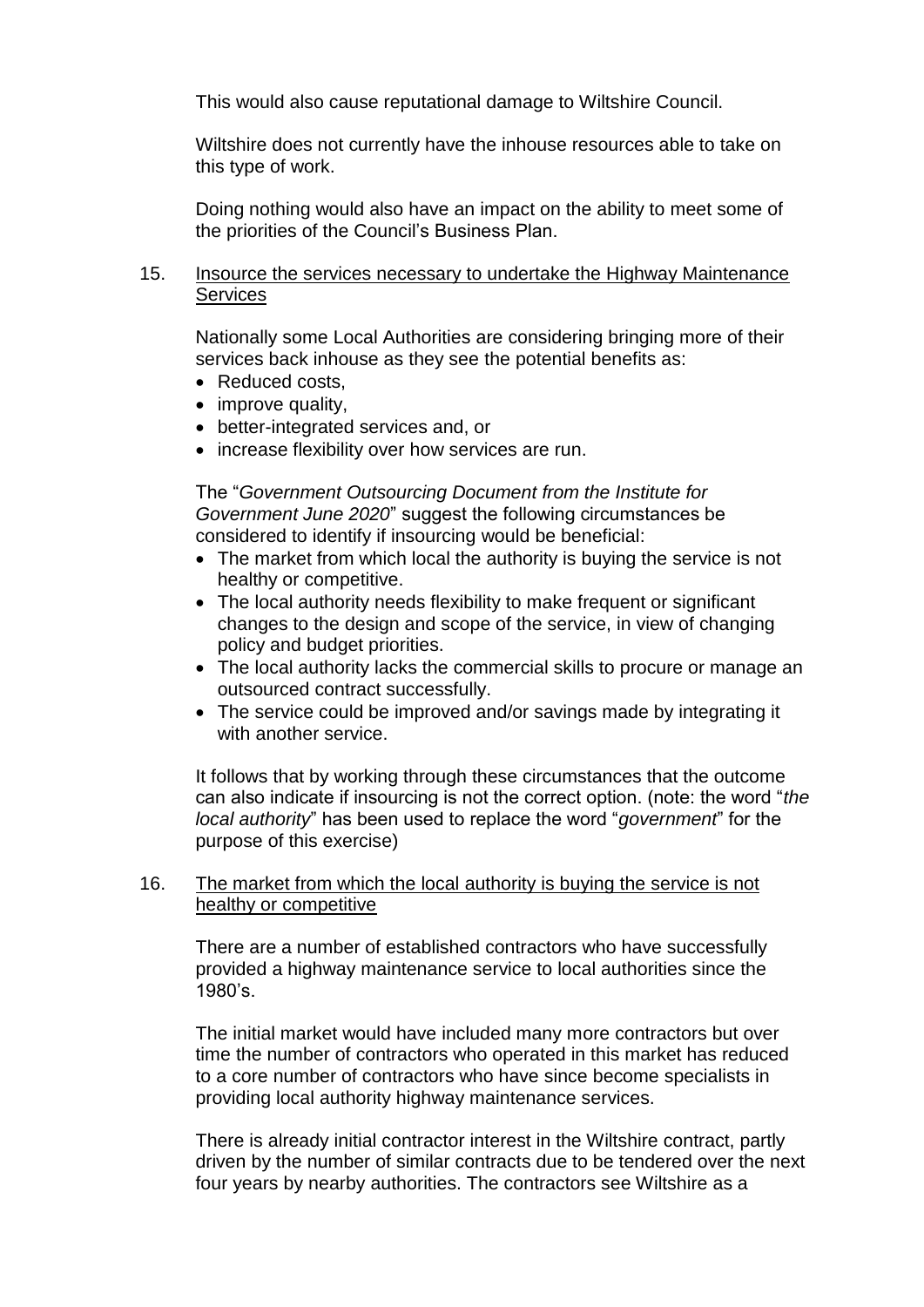This would also cause reputational damage to Wiltshire Council.

Wiltshire does not currently have the inhouse resources able to take on this type of work.

Doing nothing would also have an impact on the ability to meet some of the priorities of the Council's Business Plan.

### 15. Insource the services necessary to undertake the Highway Maintenance **Services**

Nationally some Local Authorities are considering bringing more of their services back inhouse as they see the potential benefits as:

- Reduced costs,
- improve quality,
- better-integrated services and, or
- increase flexibility over how services are run.

The "*Government Outsourcing Document from the Institute for Government June 2020*" suggest the following circumstances be considered to identify if insourcing would be beneficial:

- The market from which local the authority is buying the service is not healthy or competitive.
- The local authority needs flexibility to make frequent or significant changes to the design and scope of the service, in view of changing policy and budget priorities.
- The local authority lacks the commercial skills to procure or manage an outsourced contract successfully.
- The service could be improved and/or savings made by integrating it with another service.

It follows that by working through these circumstances that the outcome can also indicate if insourcing is not the correct option. (note: the word "*the local authority*" has been used to replace the word "*government*" for the purpose of this exercise)

### 16. The market from which the local authority is buying the service is not healthy or competitive

There are a number of established contractors who have successfully provided a highway maintenance service to local authorities since the 1980's.

The initial market would have included many more contractors but over time the number of contractors who operated in this market has reduced to a core number of contractors who have since become specialists in providing local authority highway maintenance services.

There is already initial contractor interest in the Wiltshire contract, partly driven by the number of similar contracts due to be tendered over the next four years by nearby authorities. The contractors see Wiltshire as a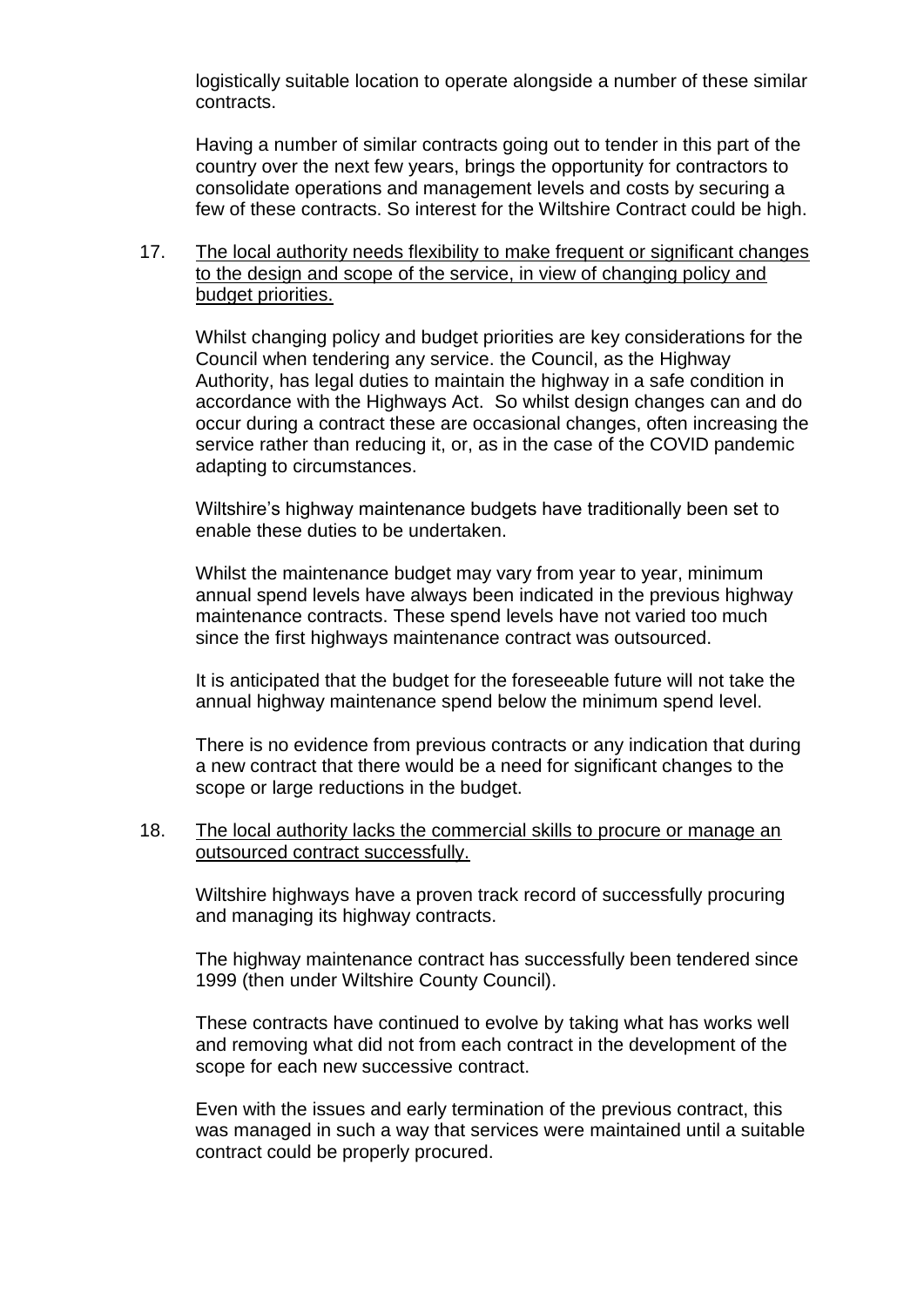logistically suitable location to operate alongside a number of these similar contracts.

Having a number of similar contracts going out to tender in this part of the country over the next few years, brings the opportunity for contractors to consolidate operations and management levels and costs by securing a few of these contracts. So interest for the Wiltshire Contract could be high.

### 17. The local authority needs flexibility to make frequent or significant changes to the design and scope of the service, in view of changing policy and budget priorities.

Whilst changing policy and budget priorities are key considerations for the Council when tendering any service. the Council, as the Highway Authority, has legal duties to maintain the highway in a safe condition in accordance with the Highways Act. So whilst design changes can and do occur during a contract these are occasional changes, often increasing the service rather than reducing it, or, as in the case of the COVID pandemic adapting to circumstances.

Wiltshire's highway maintenance budgets have traditionally been set to enable these duties to be undertaken.

Whilst the maintenance budget may vary from year to year, minimum annual spend levels have always been indicated in the previous highway maintenance contracts. These spend levels have not varied too much since the first highways maintenance contract was outsourced.

It is anticipated that the budget for the foreseeable future will not take the annual highway maintenance spend below the minimum spend level.

There is no evidence from previous contracts or any indication that during a new contract that there would be a need for significant changes to the scope or large reductions in the budget.

### 18. The local authority lacks the commercial skills to procure or manage an outsourced contract successfully.

Wiltshire highways have a proven track record of successfully procuring and managing its highway contracts.

The highway maintenance contract has successfully been tendered since 1999 (then under Wiltshire County Council).

These contracts have continued to evolve by taking what has works well and removing what did not from each contract in the development of the scope for each new successive contract.

Even with the issues and early termination of the previous contract, this was managed in such a way that services were maintained until a suitable contract could be properly procured.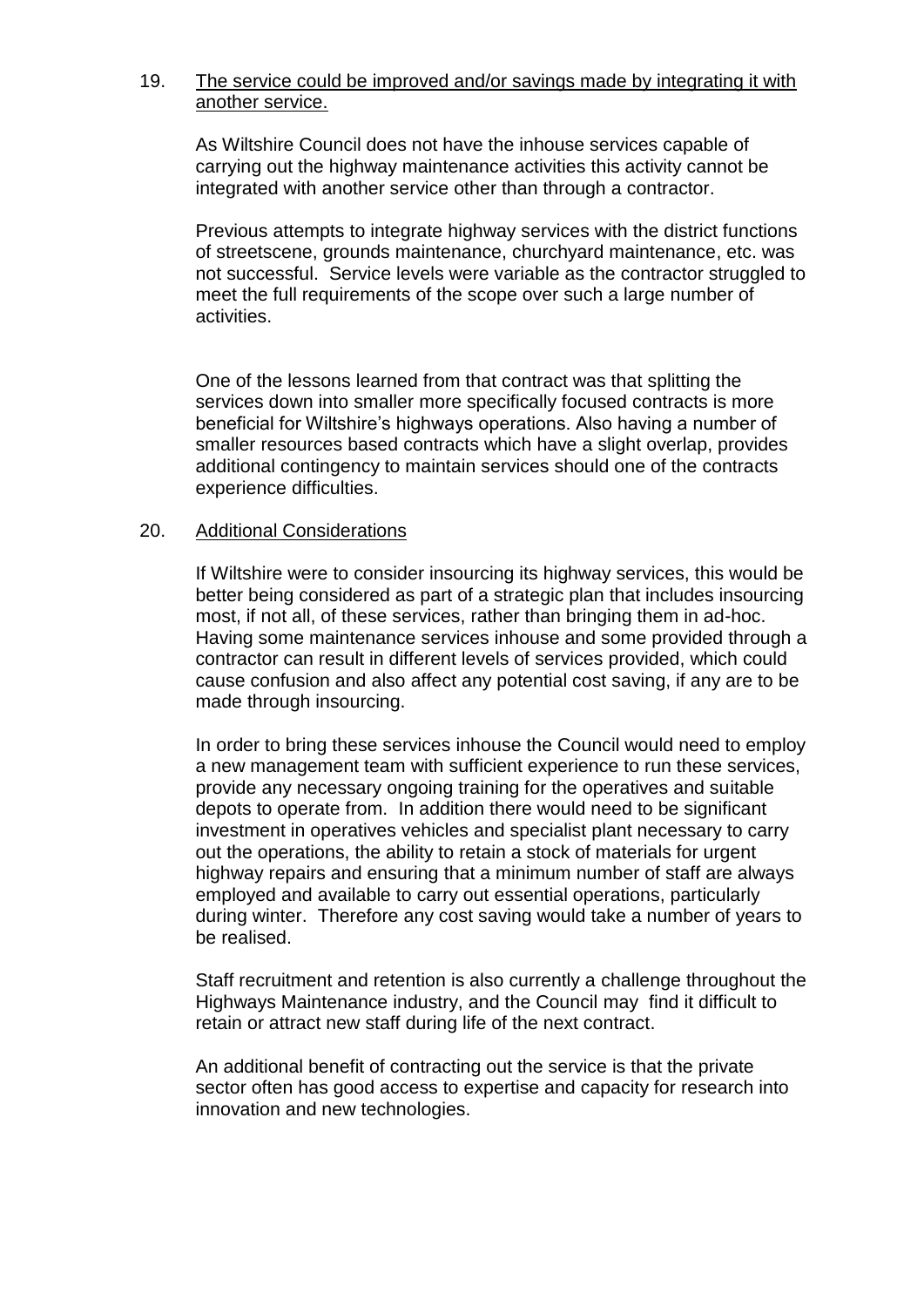### 19. The service could be improved and/or savings made by integrating it with another service.

As Wiltshire Council does not have the inhouse services capable of carrying out the highway maintenance activities this activity cannot be integrated with another service other than through a contractor.

Previous attempts to integrate highway services with the district functions of streetscene, grounds maintenance, churchyard maintenance, etc. was not successful. Service levels were variable as the contractor struggled to meet the full requirements of the scope over such a large number of activities.

One of the lessons learned from that contract was that splitting the services down into smaller more specifically focused contracts is more beneficial for Wiltshire's highways operations. Also having a number of smaller resources based contracts which have a slight overlap, provides additional contingency to maintain services should one of the contracts experience difficulties.

### 20. Additional Considerations

If Wiltshire were to consider insourcing its highway services, this would be better being considered as part of a strategic plan that includes insourcing most, if not all, of these services, rather than bringing them in ad-hoc. Having some maintenance services inhouse and some provided through a contractor can result in different levels of services provided, which could cause confusion and also affect any potential cost saving, if any are to be made through insourcing.

In order to bring these services inhouse the Council would need to employ a new management team with sufficient experience to run these services, provide any necessary ongoing training for the operatives and suitable depots to operate from. In addition there would need to be significant investment in operatives vehicles and specialist plant necessary to carry out the operations, the ability to retain a stock of materials for urgent highway repairs and ensuring that a minimum number of staff are always employed and available to carry out essential operations, particularly during winter. Therefore any cost saving would take a number of years to be realised.

Staff recruitment and retention is also currently a challenge throughout the Highways Maintenance industry, and the Council may find it difficult to retain or attract new staff during life of the next contract.

An additional benefit of contracting out the service is that the private sector often has good access to expertise and capacity for research into innovation and new technologies.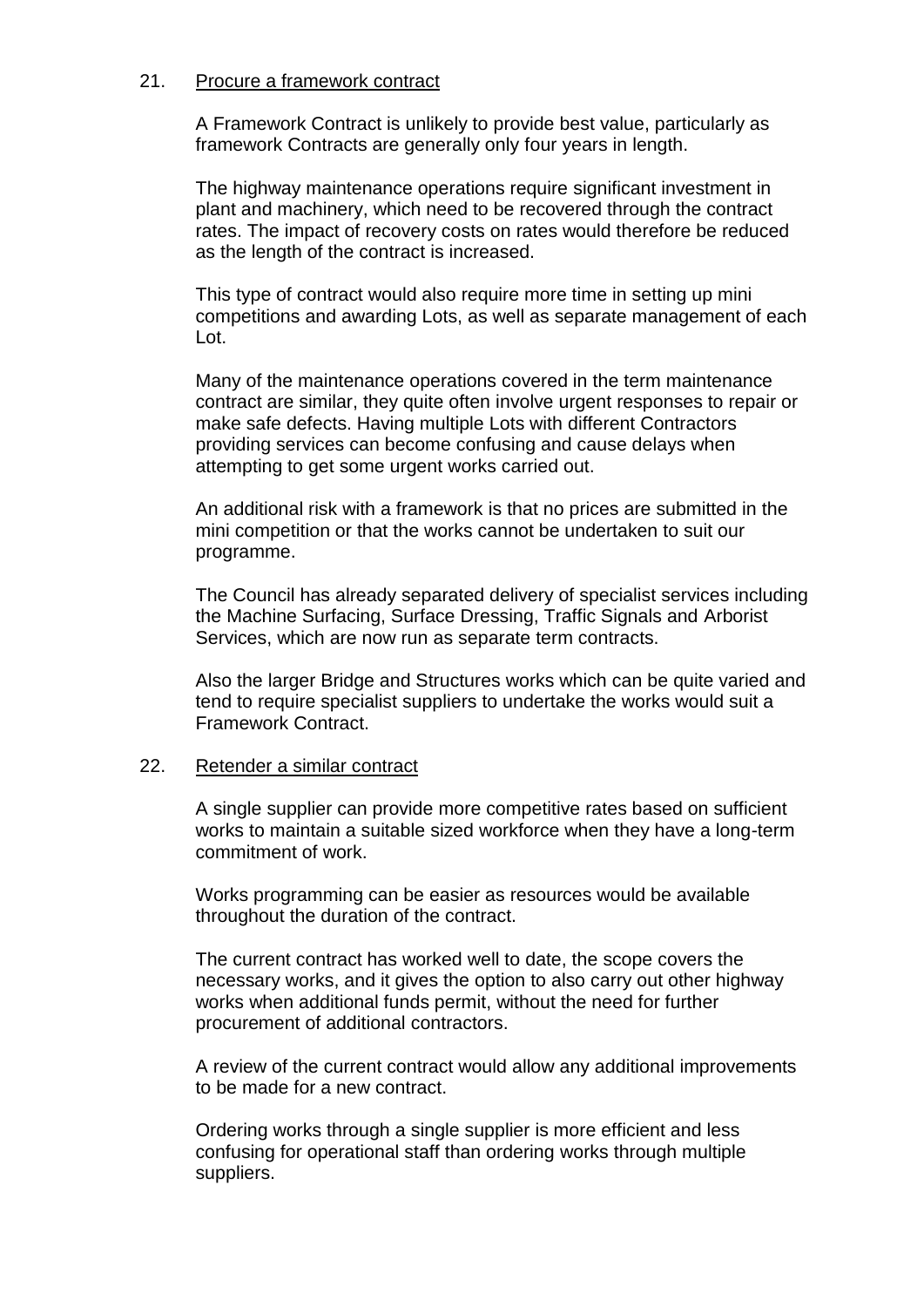### 21. Procure a framework contract

A Framework Contract is unlikely to provide best value, particularly as framework Contracts are generally only four years in length.

The highway maintenance operations require significant investment in plant and machinery, which need to be recovered through the contract rates. The impact of recovery costs on rates would therefore be reduced as the length of the contract is increased.

This type of contract would also require more time in setting up mini competitions and awarding Lots, as well as separate management of each Lot.

Many of the maintenance operations covered in the term maintenance contract are similar, they quite often involve urgent responses to repair or make safe defects. Having multiple Lots with different Contractors providing services can become confusing and cause delays when attempting to get some urgent works carried out.

An additional risk with a framework is that no prices are submitted in the mini competition or that the works cannot be undertaken to suit our programme.

The Council has already separated delivery of specialist services including the Machine Surfacing, Surface Dressing, Traffic Signals and Arborist Services, which are now run as separate term contracts.

Also the larger Bridge and Structures works which can be quite varied and tend to require specialist suppliers to undertake the works would suit a Framework Contract.

#### 22. Retender a similar contract

A single supplier can provide more competitive rates based on sufficient works to maintain a suitable sized workforce when they have a long-term commitment of work.

Works programming can be easier as resources would be available throughout the duration of the contract.

The current contract has worked well to date, the scope covers the necessary works, and it gives the option to also carry out other highway works when additional funds permit, without the need for further procurement of additional contractors.

A review of the current contract would allow any additional improvements to be made for a new contract.

Ordering works through a single supplier is more efficient and less confusing for operational staff than ordering works through multiple suppliers.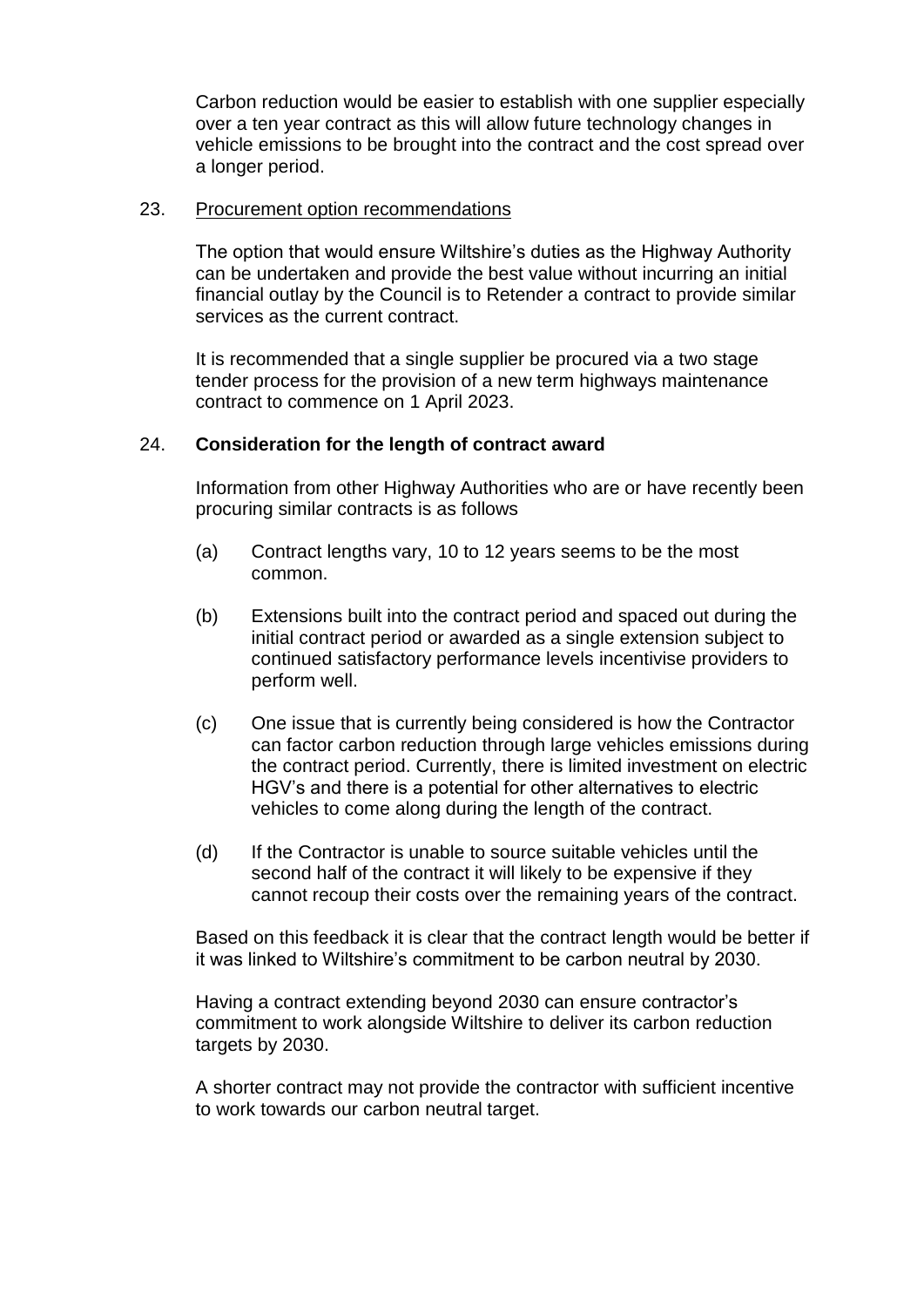Carbon reduction would be easier to establish with one supplier especially over a ten year contract as this will allow future technology changes in vehicle emissions to be brought into the contract and the cost spread over a longer period.

#### 23. Procurement option recommendations

The option that would ensure Wiltshire's duties as the Highway Authority can be undertaken and provide the best value without incurring an initial financial outlay by the Council is to Retender a contract to provide similar services as the current contract.

It is recommended that a single supplier be procured via a two stage tender process for the provision of a new term highways maintenance contract to commence on 1 April 2023.

### 24. **Consideration for the length of contract award**

Information from other Highway Authorities who are or have recently been procuring similar contracts is as follows

- (a) Contract lengths vary, 10 to 12 years seems to be the most common.
- (b) Extensions built into the contract period and spaced out during the initial contract period or awarded as a single extension subject to continued satisfactory performance levels incentivise providers to perform well.
- (c) One issue that is currently being considered is how the Contractor can factor carbon reduction through large vehicles emissions during the contract period. Currently, there is limited investment on electric HGV's and there is a potential for other alternatives to electric vehicles to come along during the length of the contract.
- (d) If the Contractor is unable to source suitable vehicles until the second half of the contract it will likely to be expensive if they cannot recoup their costs over the remaining years of the contract.

Based on this feedback it is clear that the contract length would be better if it was linked to Wiltshire's commitment to be carbon neutral by 2030.

Having a contract extending beyond 2030 can ensure contractor's commitment to work alongside Wiltshire to deliver its carbon reduction targets by 2030.

A shorter contract may not provide the contractor with sufficient incentive to work towards our carbon neutral target.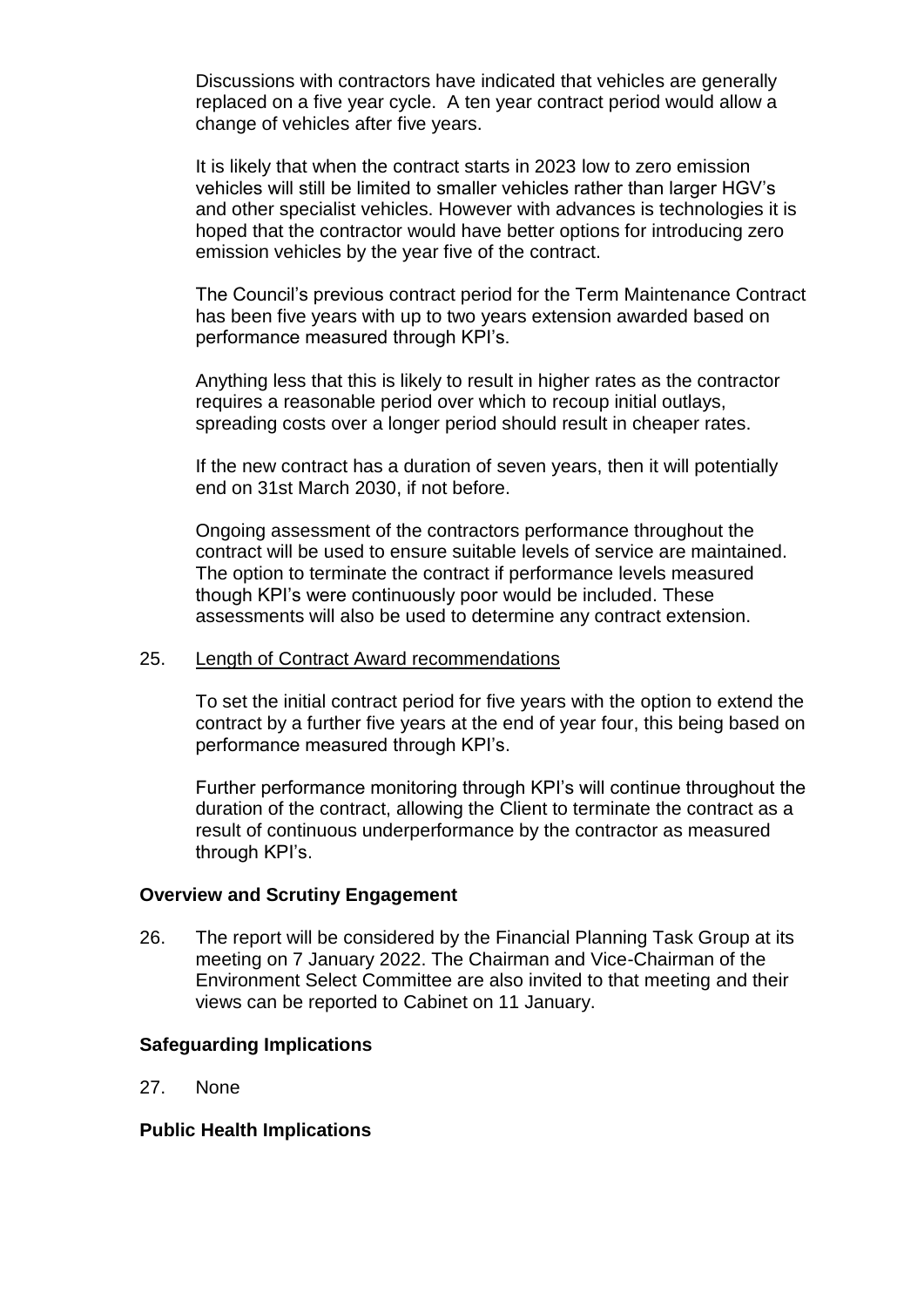Discussions with contractors have indicated that vehicles are generally replaced on a five year cycle. A ten year contract period would allow a change of vehicles after five years.

It is likely that when the contract starts in 2023 low to zero emission vehicles will still be limited to smaller vehicles rather than larger HGV's and other specialist vehicles. However with advances is technologies it is hoped that the contractor would have better options for introducing zero emission vehicles by the year five of the contract.

The Council's previous contract period for the Term Maintenance Contract has been five years with up to two years extension awarded based on performance measured through KPI's.

Anything less that this is likely to result in higher rates as the contractor requires a reasonable period over which to recoup initial outlays, spreading costs over a longer period should result in cheaper rates.

If the new contract has a duration of seven years, then it will potentially end on 31st March 2030, if not before.

Ongoing assessment of the contractors performance throughout the contract will be used to ensure suitable levels of service are maintained. The option to terminate the contract if performance levels measured though KPI's were continuously poor would be included. These assessments will also be used to determine any contract extension.

#### 25. Length of Contract Award recommendations

To set the initial contract period for five years with the option to extend the contract by a further five years at the end of year four, this being based on performance measured through KPI's.

Further performance monitoring through KPI's will continue throughout the duration of the contract, allowing the Client to terminate the contract as a result of continuous underperformance by the contractor as measured through KPI's.

#### **Overview and Scrutiny Engagement**

26. The report will be considered by the Financial Planning Task Group at its meeting on 7 January 2022. The Chairman and Vice-Chairman of the Environment Select Committee are also invited to that meeting and their views can be reported to Cabinet on 11 January.

### **Safeguarding Implications**

27. None

#### **Public Health Implications**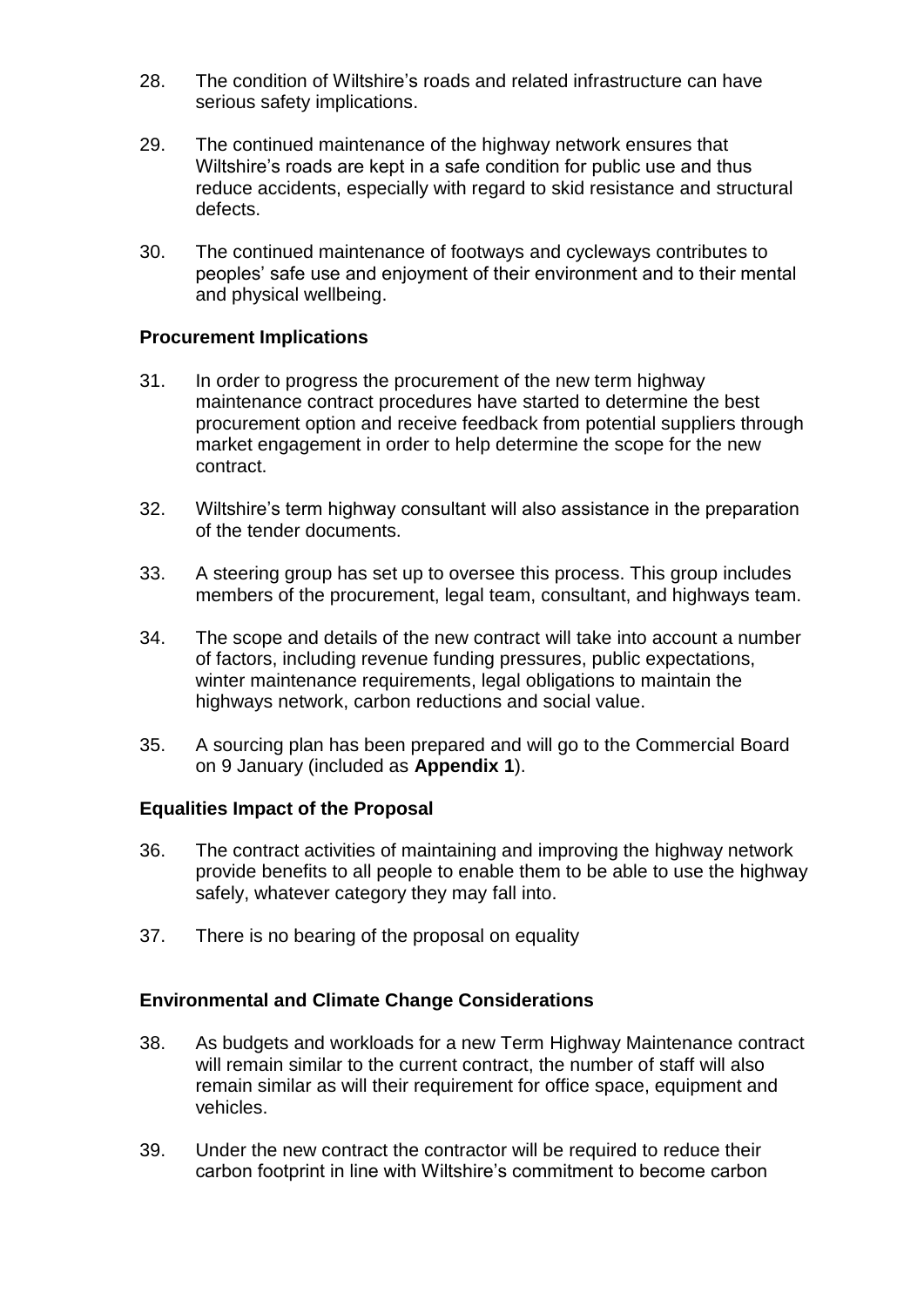- 28. The condition of Wiltshire's roads and related infrastructure can have serious safety implications.
- 29. The continued maintenance of the highway network ensures that Wiltshire's roads are kept in a safe condition for public use and thus reduce accidents, especially with regard to skid resistance and structural defects.
- 30. The continued maintenance of footways and cycleways contributes to peoples' safe use and enjoyment of their environment and to their mental and physical wellbeing.

### **Procurement Implications**

- 31. In order to progress the procurement of the new term highway maintenance contract procedures have started to determine the best procurement option and receive feedback from potential suppliers through market engagement in order to help determine the scope for the new contract.
- 32. Wiltshire's term highway consultant will also assistance in the preparation of the tender documents.
- 33. A steering group has set up to oversee this process. This group includes members of the procurement, legal team, consultant, and highways team.
- 34. The scope and details of the new contract will take into account a number of factors, including revenue funding pressures, public expectations, winter maintenance requirements, legal obligations to maintain the highways network, carbon reductions and social value.
- 35. A sourcing plan has been prepared and will go to the Commercial Board on 9 January (included as **Appendix 1**).

### **Equalities Impact of the Proposal**

- 36. The contract activities of maintaining and improving the highway network provide benefits to all people to enable them to be able to use the highway safely, whatever category they may fall into.
- 37. There is no bearing of the proposal on equality

### **Environmental and Climate Change Considerations**

- 38. As budgets and workloads for a new Term Highway Maintenance contract will remain similar to the current contract, the number of staff will also remain similar as will their requirement for office space, equipment and vehicles.
- 39. Under the new contract the contractor will be required to reduce their carbon footprint in line with Wiltshire's commitment to become carbon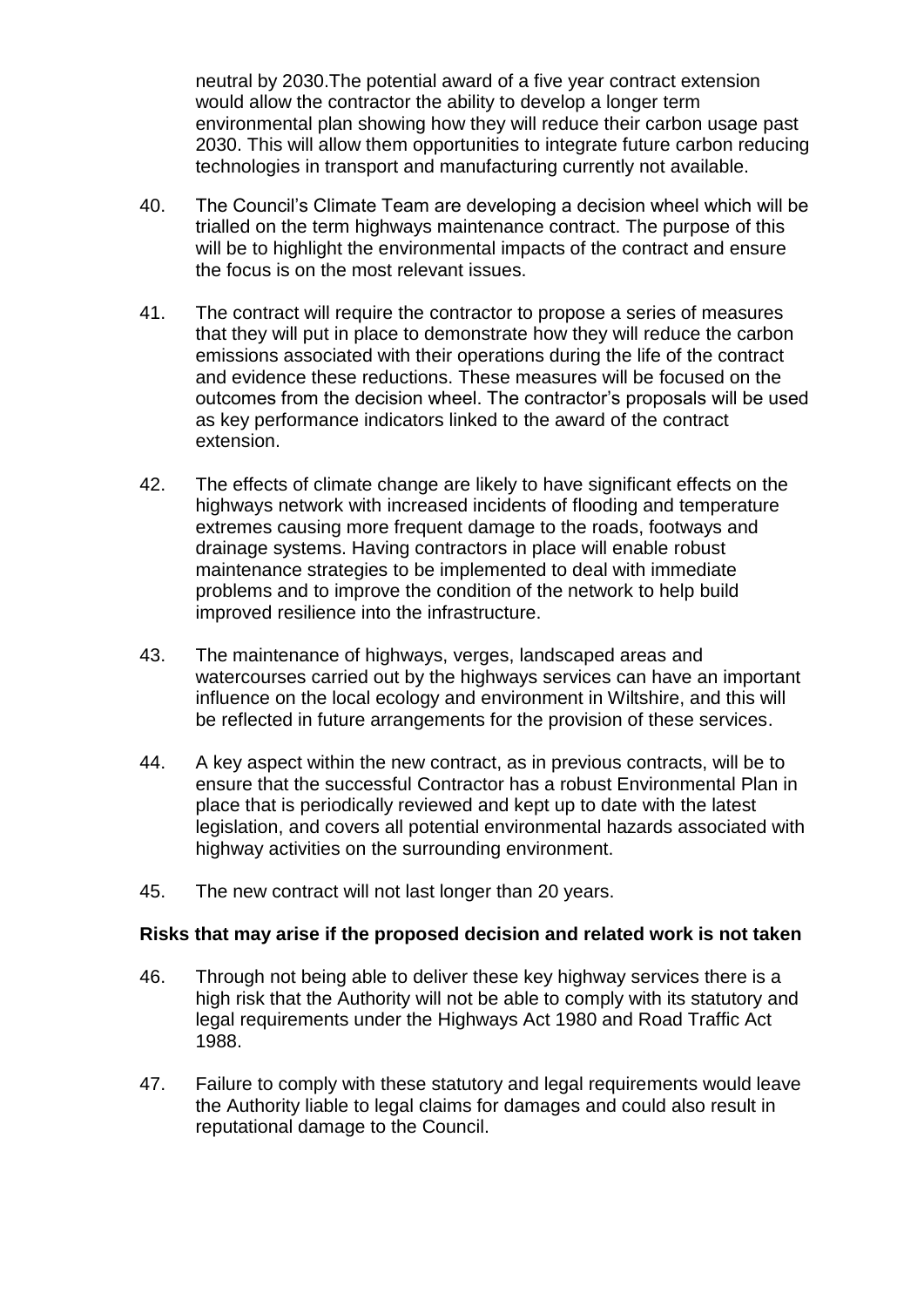neutral by 2030.The potential award of a five year contract extension would allow the contractor the ability to develop a longer term environmental plan showing how they will reduce their carbon usage past 2030. This will allow them opportunities to integrate future carbon reducing technologies in transport and manufacturing currently not available.

- 40. The Council's Climate Team are developing a decision wheel which will be trialled on the term highways maintenance contract. The purpose of this will be to highlight the environmental impacts of the contract and ensure the focus is on the most relevant issues.
- 41. The contract will require the contractor to propose a series of measures that they will put in place to demonstrate how they will reduce the carbon emissions associated with their operations during the life of the contract and evidence these reductions. These measures will be focused on the outcomes from the decision wheel. The contractor's proposals will be used as key performance indicators linked to the award of the contract extension.
- 42. The effects of climate change are likely to have significant effects on the highways network with increased incidents of flooding and temperature extremes causing more frequent damage to the roads, footways and drainage systems. Having contractors in place will enable robust maintenance strategies to be implemented to deal with immediate problems and to improve the condition of the network to help build improved resilience into the infrastructure.
- 43. The maintenance of highways, verges, landscaped areas and watercourses carried out by the highways services can have an important influence on the local ecology and environment in Wiltshire, and this will be reflected in future arrangements for the provision of these services.
- 44. A key aspect within the new contract, as in previous contracts, will be to ensure that the successful Contractor has a robust Environmental Plan in place that is periodically reviewed and kept up to date with the latest legislation, and covers all potential environmental hazards associated with highway activities on the surrounding environment.
- 45. The new contract will not last longer than 20 years.

### **Risks that may arise if the proposed decision and related work is not taken**

- 46. Through not being able to deliver these key highway services there is a high risk that the Authority will not be able to comply with its statutory and legal requirements under the Highways Act 1980 and Road Traffic Act 1988.
- 47. Failure to comply with these statutory and legal requirements would leave the Authority liable to legal claims for damages and could also result in reputational damage to the Council.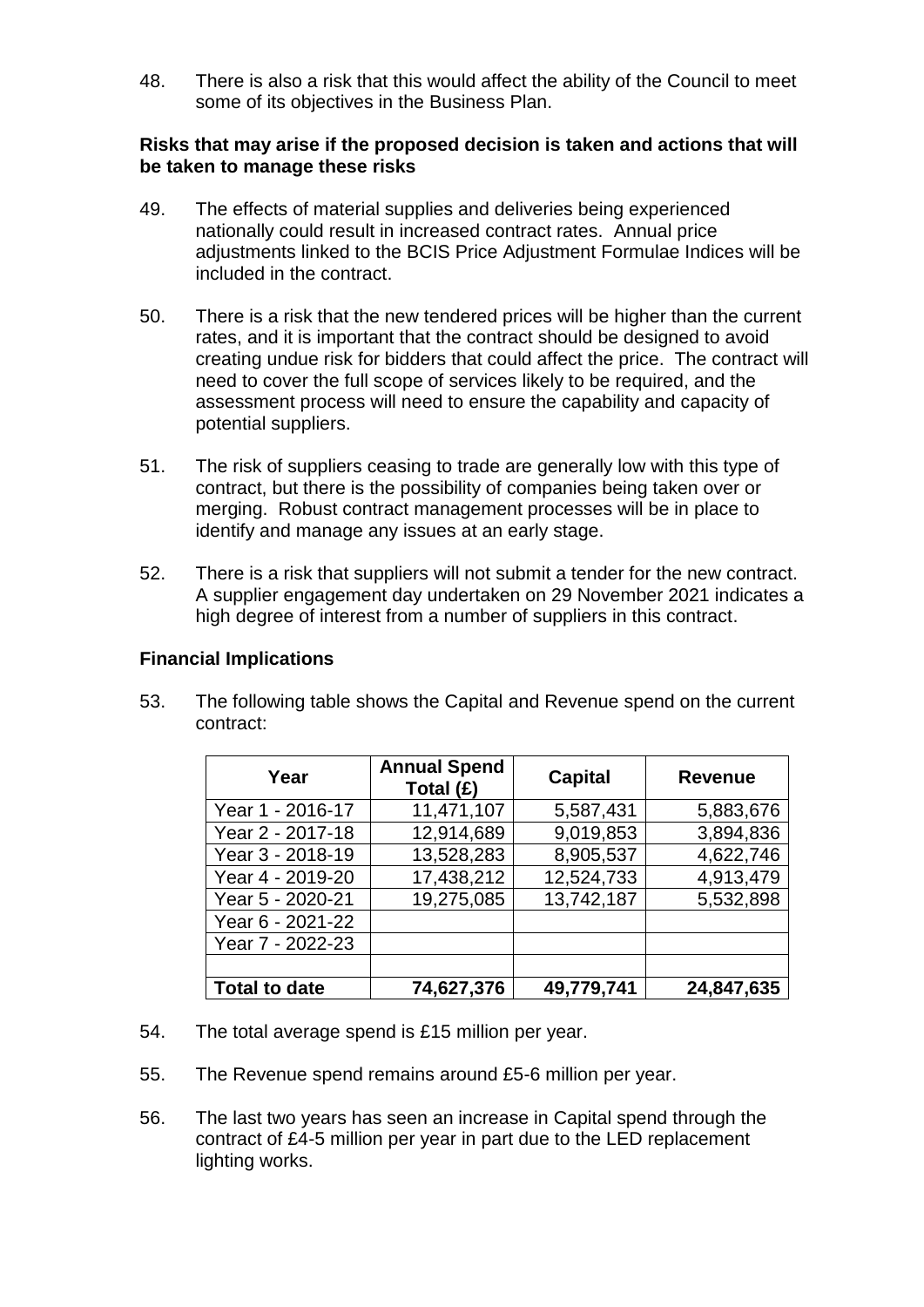48. There is also a risk that this would affect the ability of the Council to meet some of its objectives in the Business Plan.

### **Risks that may arise if the proposed decision is taken and actions that will be taken to manage these risks**

- 49. The effects of material supplies and deliveries being experienced nationally could result in increased contract rates. Annual price adjustments linked to the BCIS Price Adjustment Formulae Indices will be included in the contract.
- 50. There is a risk that the new tendered prices will be higher than the current rates, and it is important that the contract should be designed to avoid creating undue risk for bidders that could affect the price. The contract will need to cover the full scope of services likely to be required, and the assessment process will need to ensure the capability and capacity of potential suppliers.
- 51. The risk of suppliers ceasing to trade are generally low with this type of contract, but there is the possibility of companies being taken over or merging. Robust contract management processes will be in place to identify and manage any issues at an early stage.
- 52. There is a risk that suppliers will not submit a tender for the new contract. A supplier engagement day undertaken on 29 November 2021 indicates a high degree of interest from a number of suppliers in this contract.

### **Financial Implications**

53. The following table shows the Capital and Revenue spend on the current contract:

| Year                 | <b>Annual Spend</b><br>Total (£) | <b>Capital</b> | <b>Revenue</b> |
|----------------------|----------------------------------|----------------|----------------|
| Year 1 - 2016-17     | 11,471,107                       | 5,587,431      | 5,883,676      |
| Year 2 - 2017-18     | 12,914,689                       | 9,019,853      | 3,894,836      |
| Year 3 - 2018-19     | 13,528,283                       | 8,905,537      | 4,622,746      |
| Year 4 - 2019-20     | 17,438,212                       | 12,524,733     | 4,913,479      |
| Year 5 - 2020-21     | 19,275,085                       | 13,742,187     | 5,532,898      |
| Year 6 - 2021-22     |                                  |                |                |
| Year 7 - 2022-23     |                                  |                |                |
|                      |                                  |                |                |
| <b>Total to date</b> | 74,627,376                       | 49,779,741     | 24,847,635     |

- 54. The total average spend is £15 million per year.
- 55. The Revenue spend remains around £5-6 million per year.
- 56. The last two years has seen an increase in Capital spend through the contract of £4-5 million per year in part due to the LED replacement lighting works.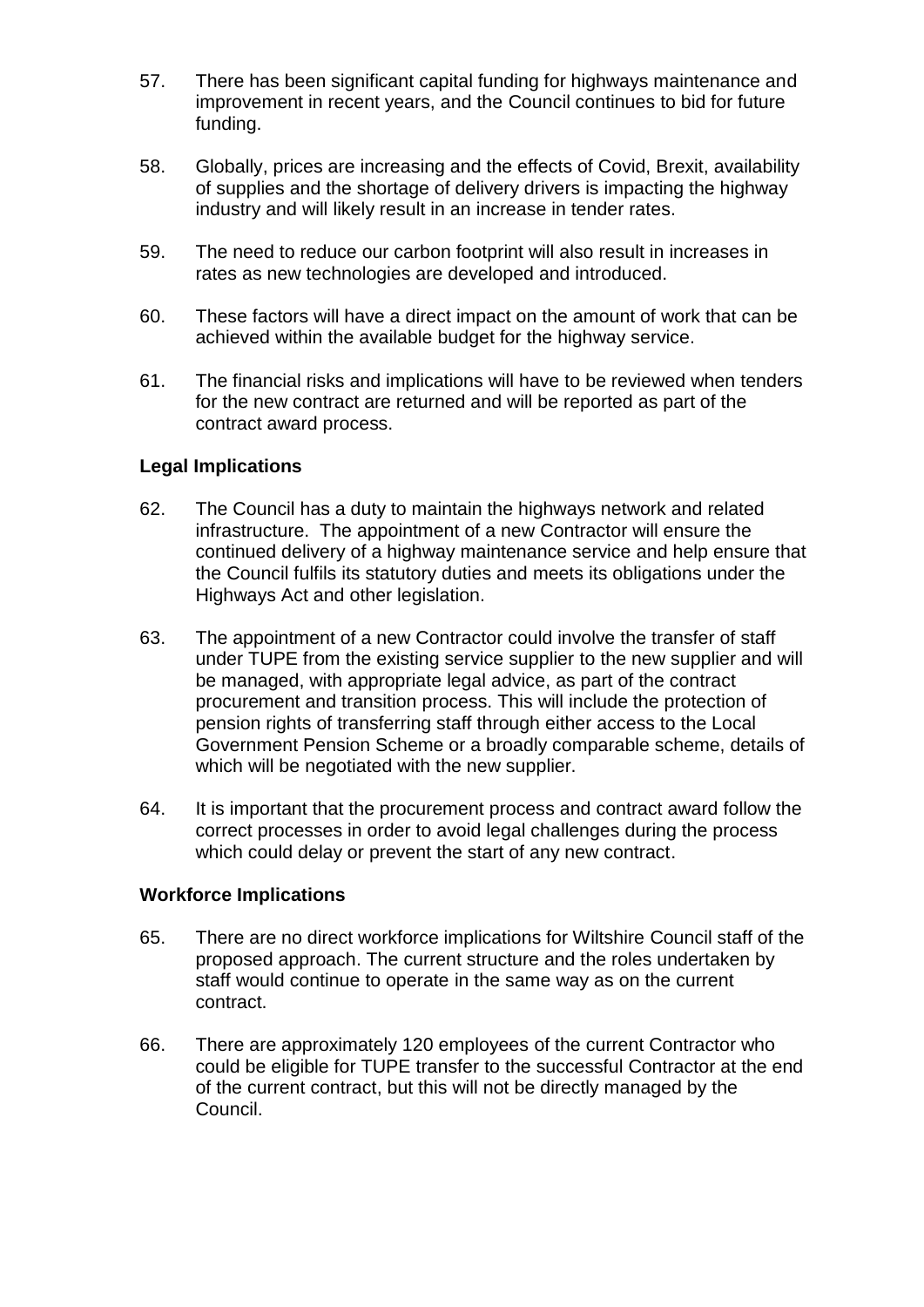- 57. There has been significant capital funding for highways maintenance and improvement in recent years, and the Council continues to bid for future funding.
- 58. Globally, prices are increasing and the effects of Covid, Brexit, availability of supplies and the shortage of delivery drivers is impacting the highway industry and will likely result in an increase in tender rates.
- 59. The need to reduce our carbon footprint will also result in increases in rates as new technologies are developed and introduced.
- 60. These factors will have a direct impact on the amount of work that can be achieved within the available budget for the highway service.
- 61. The financial risks and implications will have to be reviewed when tenders for the new contract are returned and will be reported as part of the contract award process.

### **Legal Implications**

- 62. The Council has a duty to maintain the highways network and related infrastructure. The appointment of a new Contractor will ensure the continued delivery of a highway maintenance service and help ensure that the Council fulfils its statutory duties and meets its obligations under the Highways Act and other legislation.
- 63. The appointment of a new Contractor could involve the transfer of staff under TUPE from the existing service supplier to the new supplier and will be managed, with appropriate legal advice, as part of the contract procurement and transition process. This will include the protection of pension rights of transferring staff through either access to the Local Government Pension Scheme or a broadly comparable scheme, details of which will be negotiated with the new supplier.
- 64. It is important that the procurement process and contract award follow the correct processes in order to avoid legal challenges during the process which could delay or prevent the start of any new contract.

### **Workforce Implications**

- 65. There are no direct workforce implications for Wiltshire Council staff of the proposed approach. The current structure and the roles undertaken by staff would continue to operate in the same way as on the current contract.
- 66. There are approximately 120 employees of the current Contractor who could be eligible for TUPE transfer to the successful Contractor at the end of the current contract, but this will not be directly managed by the Council.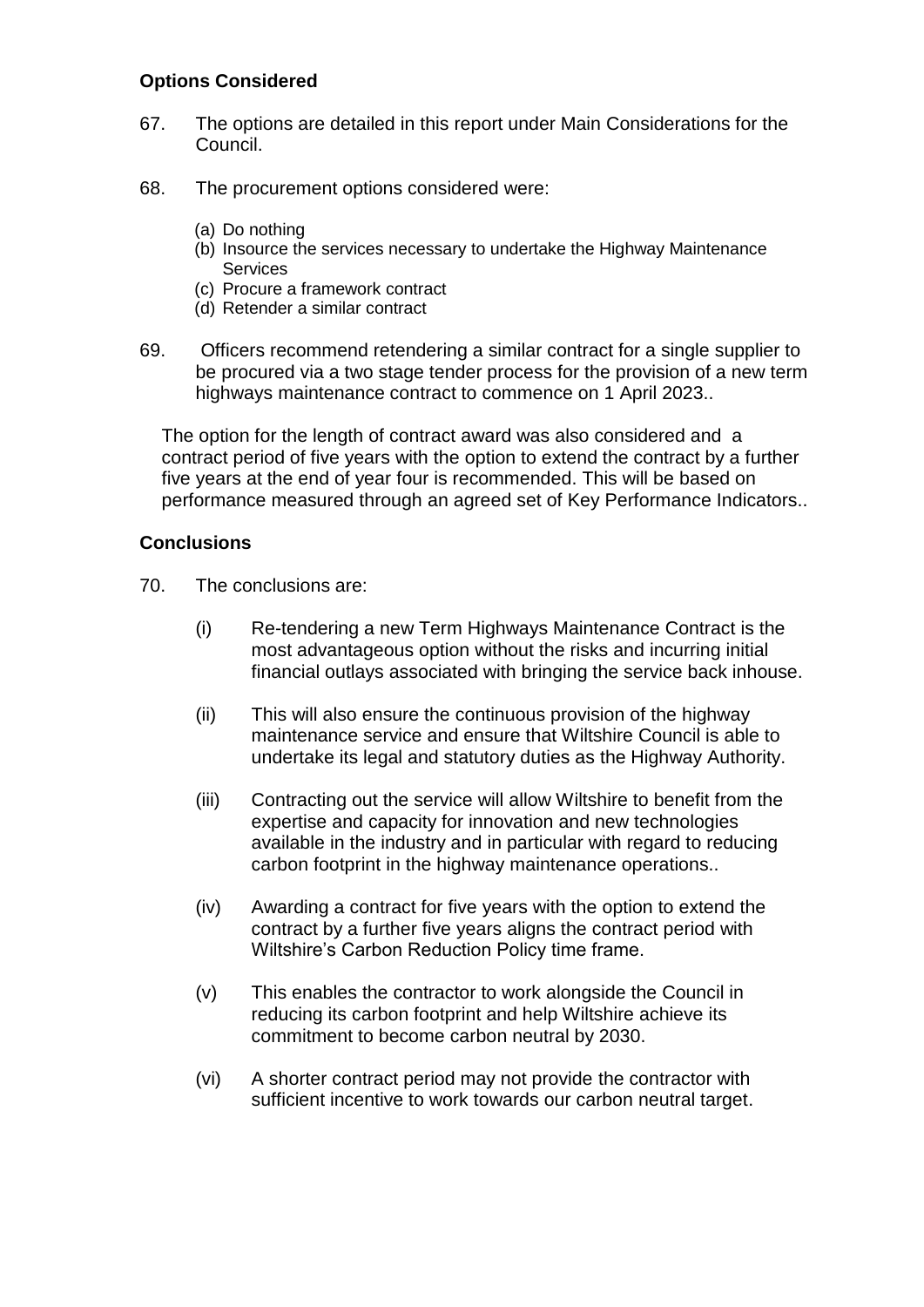## **Options Considered**

- 67. The options are detailed in this report under Main Considerations for the Council.
- 68. The procurement options considered were:
	- (a) Do nothing
	- (b) Insource the services necessary to undertake the Highway Maintenance **Services**
	- (c) Procure a framework contract
	- (d) Retender a similar contract
- 69. Officers recommend retendering a similar contract for a single supplier to be procured via a two stage tender process for the provision of a new term highways maintenance contract to commence on 1 April 2023..

The option for the length of contract award was also considered and a contract period of five years with the option to extend the contract by a further five years at the end of year four is recommended. This will be based on performance measured through an agreed set of Key Performance Indicators..

### **Conclusions**

- 70. The conclusions are:
	- (i) Re-tendering a new Term Highways Maintenance Contract is the most advantageous option without the risks and incurring initial financial outlays associated with bringing the service back inhouse.
	- (ii) This will also ensure the continuous provision of the highway maintenance service and ensure that Wiltshire Council is able to undertake its legal and statutory duties as the Highway Authority.
	- (iii) Contracting out the service will allow Wiltshire to benefit from the expertise and capacity for innovation and new technologies available in the industry and in particular with regard to reducing carbon footprint in the highway maintenance operations..
	- (iv) Awarding a contract for five years with the option to extend the contract by a further five years aligns the contract period with Wiltshire's Carbon Reduction Policy time frame.
	- (v) This enables the contractor to work alongside the Council in reducing its carbon footprint and help Wiltshire achieve its commitment to become carbon neutral by 2030.
	- (vi) A shorter contract period may not provide the contractor with sufficient incentive to work towards our carbon neutral target.